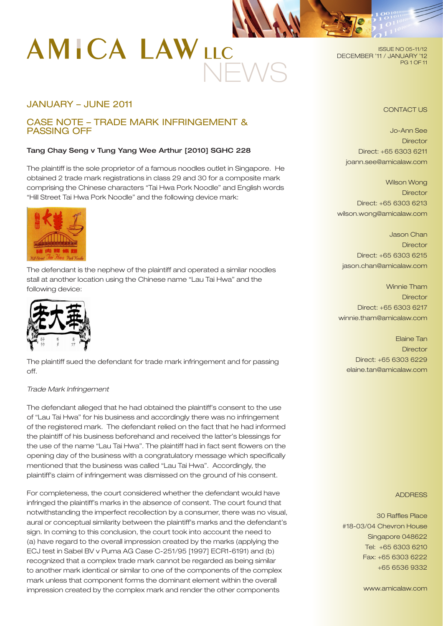# **AMICA LAWLLC** NEWS

JANUARY – JUNE 2011

# CASE NOTE – TRADE MARK INFRINGEMENT & PASSING OFF

## Tang Chay Seng v Tung Yang Wee Arthur [2010] SGHC 228

The plaintiff is the sole proprietor of a famous noodles outlet in Singapore. He obtained 2 trade mark registrations in class 29 and 30 for a composite mark comprising the Chinese characters "Tai Hwa Pork Noodle" and English words "Hill Street Tai Hwa Pork Noodle" and the following device mark:



The defendant is the nephew of the plaintiff and operated a similar noodles stall at another location using the Chinese name "Lau Tai Hwa" and the following device:



The plaintiff sued the defendant for trade mark infringement and for passing off.

## *Trade Mark Infringement*

The defendant alleged that he had obtained the plaintiff's consent to the use of "Lau Tai Hwa" for his business and accordingly there was no infringement of the registered mark. The defendant relied on the fact that he had informed the plaintiff of his business beforehand and received the latter's blessings for the use of the name "Lau Tai Hwa". The plaintiff had in fact sent flowers on the opening day of the business with a congratulatory message which specifically mentioned that the business was called "Lau Tai Hwa". Accordingly, the plaintiff's claim of infringement was dismissed on the ground of his consent.

For completeness, the court considered whether the defendant would have infringed the plaintiff's marks in the absence of consent. The court found that notwithstanding the imperfect recollection by a consumer, there was no visual, aural or conceptual similarity between the plaintiff's marks and the defendant's sign. In coming to this conclusion, the court took into account the need to (a) have regard to the overall impression created by the marks (applying the ECJ test in Sabel BV v Puma AG Case C-251/95 [1997] ECR1-6191) and (b) recognized that a complex trade mark cannot be regarded as being similar to another mark identical or similar to one of the components of the complex mark unless that component forms the dominant element within the overall impression created by the complex mark and render the other components

ISSUE NO 05-11/12 DECEMBER '11 / JANUARY '12 PG 1 OF 11

## CONTACT US

Jo-Ann See **Director** Direct: +65 6303 6211 joann.see@amicalaw.com

Wilson Wong **Director** Direct: +65 6303 6213 wilson.wong@amicalaw.com

Jason Chan **Director** Direct: +65 6303 6215 jason.chan@amicalaw.com

Winnie Tham **Director** Direct: +65 6303 6217 winnie.tham@amicalaw.com

Elaine Tan **Director** Direct: +65 6303 6229 elaine.tan@amicalaw.com

#### ADDRESS

30 Raffles Place #18-03/04 Chevron House Singapore 048622 Tel: +65 6303 6210 Fax: +65 6303 6222 +65 6536 9332

www.amicalaw.com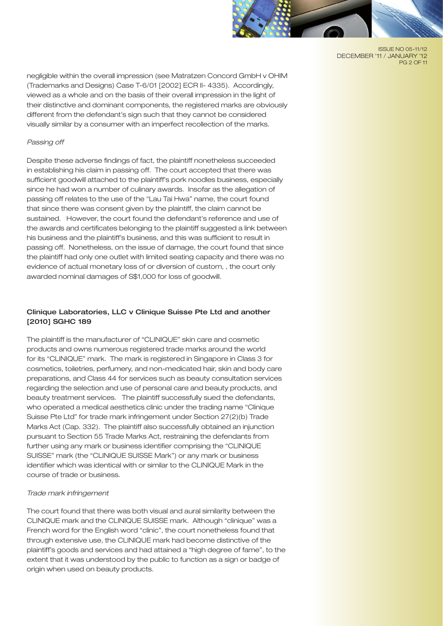

ISSUE NO 05-11/12 DECEMBER '11 / JANUARY '12 PG 2 OF 11

negligible within the overall impression (see Matratzen Concord GmbH v OHIM (Trademarks and Designs) Case T-6/01 [2002] ECR II- 4335). Accordingly, viewed as a whole and on the basis of their overall impression in the light of their distinctive and dominant components, the registered marks are obviously different from the defendant's sign such that they cannot be considered visually similar by a consumer with an imperfect recollection of the marks.

## *Passing off*

Despite these adverse findings of fact, the plaintiff nonetheless succeeded in establishing his claim in passing off. The court accepted that there was sufficient goodwill attached to the plaintiff's pork noodles business, especially since he had won a number of culinary awards. Insofar as the allegation of passing off relates to the use of the "Lau Tai Hwa" name, the court found that since there was consent given by the plaintiff, the claim cannot be sustained. However, the court found the defendant's reference and use of the awards and certificates belonging to the plaintiff suggested a link between his business and the plaintiff's business, and this was sufficient to result in passing off. Nonetheless, on the issue of damage, the court found that since the plaintiff had only one outlet with limited seating capacity and there was no evidence of actual monetary loss of or diversion of custom, , the court only awarded nominal damages of S\$1,000 for loss of goodwill.

## Clinique Laboratories, LLC v Clinique Suisse Pte Ltd and another [2010] SGHC 189

The plaintiff is the manufacturer of "CLINIQUE" skin care and cosmetic products and owns numerous registered trade marks around the world for its "CLINIQUE" mark. The mark is registered in Singapore in Class 3 for cosmetics, toiletries, perfumery, and non-medicated hair, skin and body care preparations, and Class 44 for services such as beauty consultation services regarding the selection and use of personal care and beauty products, and beauty treatment services. The plaintiff successfully sued the defendants, who operated a medical aesthetics clinic under the trading name "Clinique Suisse Pte Ltd" for trade mark infringement under Section 27(2)(b) Trade Marks Act (Cap. 332). The plaintiff also successfully obtained an injunction pursuant to Section 55 Trade Marks Act, restraining the defendants from further using any mark or business identifier comprising the "CLINIQUE SUISSE" mark (the "CLINIQUE SUISSE Mark") or any mark or business identifier which was identical with or similar to the CLINIQUE Mark in the course of trade or business.

## *Trade mark infringement*

The court found that there was both visual and aural similarity between the CLINIQUE mark and the CLINIQUE SUISSE mark. Although "clinique" was a French word for the English word "clinic", the court nonetheless found that through extensive use, the CLINIQUE mark had become distinctive of the plaintiff's goods and services and had attained a "high degree of fame", to the extent that it was understood by the public to function as a sign or badge of origin when used on beauty products.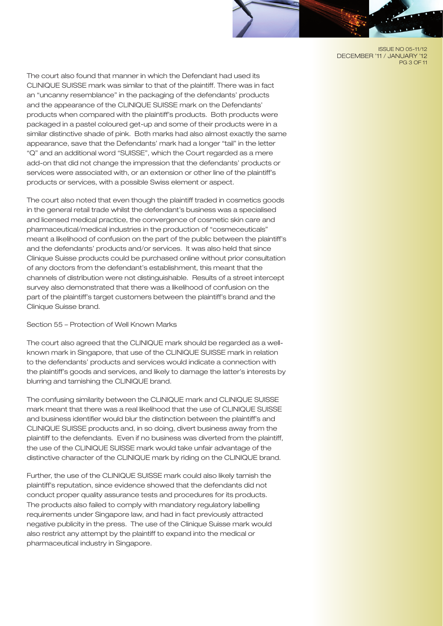ISSUE NO 05-11/12 DECEMBER '11 / JANUARY '12 PG 3 OF 11

The court also found that manner in which the Defendant had used its CLINIQUE SUISSE mark was similar to that of the plaintiff. There was in fact an "uncanny resemblance" in the packaging of the defendants' products and the appearance of the CLINIQUE SUISSE mark on the Defendants' products when compared with the plaintiff's products. Both products were packaged in a pastel coloured get-up and some of their products were in a similar distinctive shade of pink. Both marks had also almost exactly the same appearance, save that the Defendants' mark had a longer "tail" in the letter "Q" and an additional word "SUISSE", which the Court regarded as a mere add-on that did not change the impression that the defendants' products or services were associated with, or an extension or other line of the plaintiff's products or services, with a possible Swiss element or aspect.

The court also noted that even though the plaintiff traded in cosmetics goods in the general retail trade whilst the defendant's business was a specialised and licensed medical practice, the convergence of cosmetic skin care and pharmaceutical/medical industries in the production of "cosmeceuticals" meant a likelihood of confusion on the part of the public between the plaintiff's and the defendants' products and/or services. It was also held that since Clinique Suisse products could be purchased online without prior consultation of any doctors from the defendant's establishment, this meant that the channels of distribution were not distinguishable. Results of a street intercept survey also demonstrated that there was a likelihood of confusion on the part of the plaintiff's target customers between the plaintiff's brand and the Clinique Suisse brand.

Section 55 – Protection of Well Known Marks

The court also agreed that the CLINIQUE mark should be regarded as a wellknown mark in Singapore, that use of the CLINIQUE SUISSE mark in relation to the defendants' products and services would indicate a connection with the plaintiff's goods and services, and likely to damage the latter's interests by blurring and tarnishing the CLINIQUE brand.

The confusing similarity between the CLINIQUE mark and CLINIQUE SUISSE mark meant that there was a real likelihood that the use of CLINIQUE SUISSE and business identifier would blur the distinction between the plaintiff's and CLINIQUE SUISSE products and, in so doing, divert business away from the plaintiff to the defendants. Even if no business was diverted from the plaintiff, the use of the CLINIQUE SUISSE mark would take unfair advantage of the distinctive character of the CLINIQUE mark by riding on the CLINIQUE brand.

Further, the use of the CLINIQUE SUISSE mark could also likely tarnish the plaintiff's reputation, since evidence showed that the defendants did not conduct proper quality assurance tests and procedures for its products. The products also failed to comply with mandatory regulatory labelling requirements under Singapore law, and had in fact previously attracted negative publicity in the press. The use of the Clinique Suisse mark would also restrict any attempt by the plaintiff to expand into the medical or pharmaceutical industry in Singapore.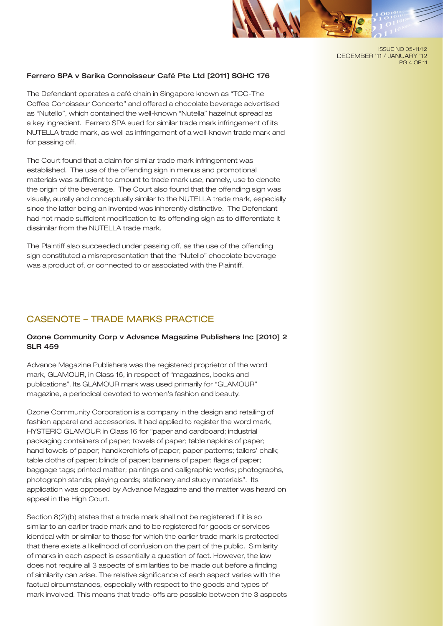#### ISSUE NO 05-11/12 DECEMBER '11 / JANUARY '12 PG 4 OF 11

## Ferrero SPA v Sarika Connoisseur Café Pte Ltd [2011] SGHC 176

The Defendant operates a café chain in Singapore known as "TCC-The Coffee Conoisseur Concerto" and offered a chocolate beverage advertised as "Nutello", which contained the well-known "Nutella" hazelnut spread as a key ingredient. Ferrero SPA sued for similar trade mark infringement of its NUTELLA trade mark, as well as infringement of a well-known trade mark and for passing off.

The Court found that a claim for similar trade mark infringement was established. The use of the offending sign in menus and promotional materials was sufficient to amount to trade mark use, namely, use to denote the origin of the beverage. The Court also found that the offending sign was visually, aurally and conceptually similar to the NUTELLA trade mark, especially since the latter being an invented was inherently distinctive. The Defendant had not made sufficient modification to its offending sign as to differentiate it dissimilar from the NUTELLA trade mark.

The Plaintiff also succeeded under passing off, as the use of the offending sign constituted a misrepresentation that the "Nutello" chocolate beverage was a product of, or connected to or associated with the Plaintiff.

# CASENOTE – TRADE MARKS PRACTICE

## Ozone Community Corp v Advance Magazine Publishers Inc [2010] 2 SLR 459

Advance Magazine Publishers was the registered proprietor of the word mark, GLAMOUR, in Class 16, in respect of "magazines, books and publications". Its GLAMOUR mark was used primarily for "GLAMOUR" magazine, a periodical devoted to women's fashion and beauty.

Ozone Community Corporation is a company in the design and retailing of fashion apparel and accessories. It had applied to register the word mark, HYSTERIC GLAMOUR in Class 16 for "paper and cardboard; industrial packaging containers of paper; towels of paper; table napkins of paper; hand towels of paper; handkerchiefs of paper; paper patterns; tailors' chalk; table cloths of paper; blinds of paper; banners of paper; flags of paper; baggage tags; printed matter; paintings and calligraphic works; photographs, photograph stands; playing cards; stationery and study materials". Its application was opposed by Advance Magazine and the matter was heard on appeal in the High Court.

Section 8(2)(b) states that a trade mark shall not be registered if it is so similar to an earlier trade mark and to be registered for goods or services identical with or similar to those for which the earlier trade mark is protected that there exists a likelihood of confusion on the part of the public. Similarity of marks in each aspect is essentially a question of fact. However, the law does not require all 3 aspects of similarities to be made out before a finding of similarity can arise. The relative significance of each aspect varies with the factual circumstances, especially with respect to the goods and types of mark involved. This means that trade-offs are possible between the 3 aspects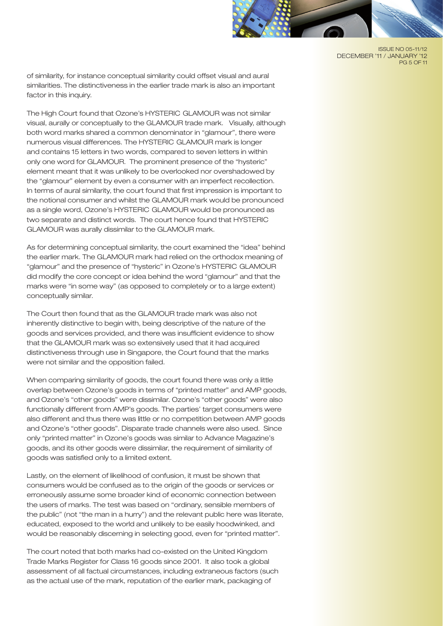

ISSUE NO 05-11/12 DECEMBER '11 / JANUARY '12 PG 5 OF 11

of similarity, for instance conceptual similarity could offset visual and aural similarities. The distinctiveness in the earlier trade mark is also an important factor in this inquiry.

The High Court found that Ozone's HYSTERIC GLAMOUR was not similar visual, aurally or conceptually to the GLAMOUR trade mark. Visually, although both word marks shared a common denominator in "glamour", there were numerous visual differences. The HYSTERIC GLAMOUR mark is longer and contains 15 letters in two words, compared to seven letters in within only one word for GLAMOUR. The prominent presence of the "hysteric" element meant that it was unlikely to be overlooked nor overshadowed by the "glamour" element by even a consumer with an imperfect recollection. In terms of aural similarity, the court found that first impression is important to the notional consumer and whilst the GLAMOUR mark would be pronounced as a single word, Ozone's HYSTERIC GLAMOUR would be pronounced as two separate and distinct words. The court hence found that HYSTERIC GLAMOUR was aurally dissimilar to the GLAMOUR mark.

As for determining conceptual similarity, the court examined the "idea" behind the earlier mark. The GLAMOUR mark had relied on the orthodox meaning of "glamour" and the presence of "hysteric" in Ozone's HYSTERIC GLAMOUR did modify the core concept or idea behind the word "glamour" and that the marks were "in some way" (as opposed to completely or to a large extent) conceptually similar.

The Court then found that as the GLAMOUR trade mark was also not inherently distinctive to begin with, being descriptive of the nature of the goods and services provided, and there was insufficient evidence to show that the GLAMOUR mark was so extensively used that it had acquired distinctiveness through use in Singapore, the Court found that the marks were not similar and the opposition failed.

When comparing similarity of goods, the court found there was only a little overlap between Ozone's goods in terms of "printed matter" and AMP goods, and Ozone's "other goods" were dissimilar. Ozone's "other goods" were also functionally different from AMP's goods. The parties' target consumers were also different and thus there was little or no competition between AMP goods and Ozone's "other goods". Disparate trade channels were also used. Since only "printed matter" in Ozone's goods was similar to Advance Magazine's goods, and its other goods were dissimilar, the requirement of similarity of goods was satisfied only to a limited extent.

Lastly, on the element of likelihood of confusion, it must be shown that consumers would be confused as to the origin of the goods or services or erroneously assume some broader kind of economic connection between the users of marks. The test was based on "ordinary, sensible members of the public" (not "the man in a hurry") and the relevant public here was literate, educated, exposed to the world and unlikely to be easily hoodwinked, and would be reasonably discerning in selecting good, even for "printed matter".

The court noted that both marks had co-existed on the United Kingdom Trade Marks Register for Class 16 goods since 2001. It also took a global assessment of all factual circumstances, including extraneous factors (such as the actual use of the mark, reputation of the earlier mark, packaging of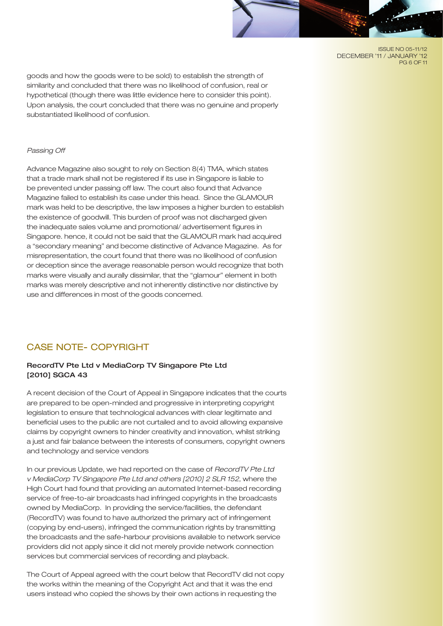ISSUE NO 05-11/12 DECEMBER '11 / JANUARY '12 PG 6 OF 11

goods and how the goods were to be sold) to establish the strength of similarity and concluded that there was no likelihood of confusion, real or hypothetical (though there was little evidence here to consider this point). Upon analysis, the court concluded that there was no genuine and properly substantiated likelihood of confusion.

#### *Passing Off*

Advance Magazine also sought to rely on Section 8(4) TMA, which states that a trade mark shall not be registered if its use in Singapore is liable to be prevented under passing off law. The court also found that Advance Magazine failed to establish its case under this head. Since the GLAMOUR mark was held to be descriptive, the law imposes a higher burden to establish the existence of goodwill. This burden of proof was not discharged given the inadequate sales volume and promotional/ advertisement figures in Singapore. hence, it could not be said that the GLAMOUR mark had acquired a "secondary meaning" and become distinctive of Advance Magazine. As for misrepresentation, the court found that there was no likelihood of confusion or deception since the average reasonable person would recognize that both marks were visually and aurally dissimilar, that the "glamour" element in both marks was merely descriptive and not inherently distinctive nor distinctive by use and differences in most of the goods concerned.

## CASE NOTE- COPYRIGHT

## RecordTV Pte Ltd v MediaCorp TV Singapore Pte Ltd [2010] SGCA 43

A recent decision of the Court of Appeal in Singapore indicates that the courts are prepared to be open-minded and progressive in interpreting copyright legislation to ensure that technological advances with clear legitimate and beneficial uses to the public are not curtailed and to avoid allowing expansive claims by copyright owners to hinder creativity and innovation, whilst striking a just and fair balance between the interests of consumers, copyright owners and technology and service vendors

In our previous Update, we had reported on the case of *RecordTV Pte Ltd v MediaCorp TV Singapore Pte Ltd and others [2010] 2 SLR 152*, where the High Court had found that providing an automated Internet-based recording service of free-to-air broadcasts had infringed copyrights in the broadcasts owned by MediaCorp. In providing the service/facilities, the defendant (RecordTV) was found to have authorized the primary act of infringement (copying by end-users), infringed the communication rights by transmitting the broadcasts and the safe-harbour provisions available to network service providers did not apply since it did not merely provide network connection services but commercial services of recording and playback.

The Court of Appeal agreed with the court below that RecordTV did not copy the works within the meaning of the Copyright Act and that it was the end users instead who copied the shows by their own actions in requesting the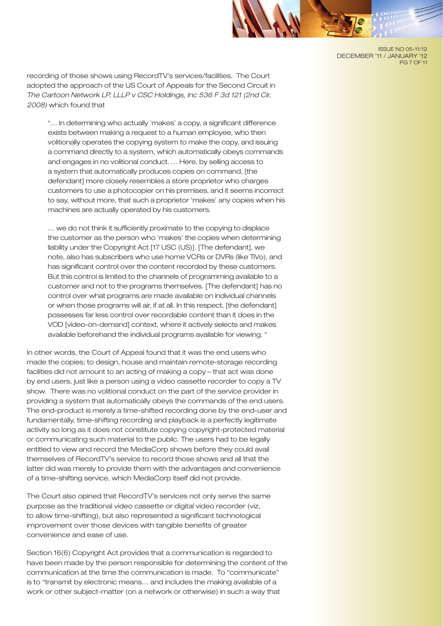ISSUE NO 05-11/12 DECEMBER '11 / JANUARY '12 PG 7 OF 11

recording of those shows using RecordTV's services/facilities. The Court adopted the approach of the US Court of Appeals for the Second Circuit in *The Cartoon Network LP, LLLP v CSC Holdings, Inc 536 F 3d 121 (2nd Cir, 2008)* which found that

"… In determining who actually 'makes' a copy, a significant difference exists between making a request to a human employee, who then volitionally operates the copying system to make the copy, and issuing a command directly to a system, which automatically obeys commands and engages in no volitional conduct. … Here, by selling access to a system that automatically produces copies on command, [the defendant] more closely resembles a store proprietor who charges customers to use a photocopier on his premises, and it seems incorrect to say, without more, that such a proprietor 'makes' any copies when his machines are actually operated by his customers.

… we do not think it sufficiently proximate to the copying to displace the customer as the person who 'makes' the copies when determining liability under the Copyright Act [17 USC (US)]. [The defendant], we note, also has subscribers who use home VCRs or DVRs (like TiVo), and has significant control over the content recorded by these customers. But this control is limited to the channels of programming available to a customer and not to the programs themselves. [The defendant] has no control over what programs are made available on individual channels or when those programs will air, if at all. In this respect, [the defendant] possesses far less control over recordable content than it does in the VOD [video-on-demand] context, where it actively selects and makes available beforehand the individual programs available for viewing. "

In other words, the Court of Appeal found that it was the end users who made the copies; to design, house and maintain remote-storage recording facilities did not amount to an acting of making a copy – that act was done by end users, just like a person using a video cassette recorder to copy a TV show. There was no volitional conduct on the part of the service provider in providing a system that automatically obeys the commands of the end users. The end-product is merely a time-shifted recording done by the end-user and fundamentally, time-shifting recording and playback is a perfectly legitimate activity so long as it does not constitute copying copyright-protected material or communicating such material to the public. The users had to be legally entitled to view and record the MediaCorp shows before they could avail themselves of RecordTV's service to record those shows and all that the latter did was merely to provide them with the advantages and convenience of a time-shifting service, which MediaCorp itself did not provide.

The Court also opined that RecordTV's services not only serve the same purpose as the traditional video cassette or digital video recorder (viz, to allow time-shifting), but also represented a significant technological improvement over those devices with tangible benefits of greater convenience and ease of use.

Section 16(6) Copyright Act provides that a communication is regarded to have been made by the person responsible for determining the content of the communication at the time the communication is made. To "communicate" is to "transmit by electronic means… and includes the making available of a work or other subject-matter (on a network or otherwise) in such a way that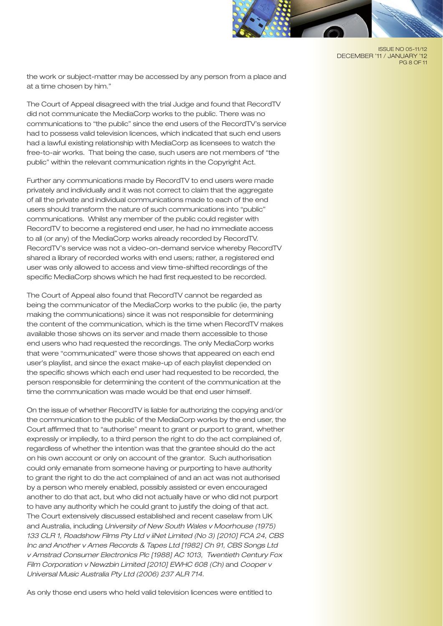

ISSUE NO 05-11/12 DECEMBER '11 / JANUARY '12 PG 8 OF 11

the work or subject-matter may be accessed by any person from a place and at a time chosen by him."

The Court of Appeal disagreed with the trial Judge and found that RecordTV did not communicate the MediaCorp works to the public. There was no communications to "the public" since the end users of the RecordTV's service had to possess valid television licences, which indicated that such end users had a lawful existing relationship with MediaCorp as licensees to watch the free-to-air works. That being the case, such users are not members of "the public" within the relevant communication rights in the Copyright Act.

Further any communications made by RecordTV to end users were made privately and individually and it was not correct to claim that the aggregate of all the private and individual communications made to each of the end users should transform the nature of such communications into "public" communications. Whilst any member of the public could register with RecordTV to become a registered end user, he had no immediate access to all (or any) of the MediaCorp works already recorded by RecordTV. RecordTV's service was not a video-on-demand service whereby RecordTV shared a library of recorded works with end users; rather, a registered end user was only allowed to access and view time-shifted recordings of the specific MediaCorp shows which he had first requested to be recorded.

The Court of Appeal also found that RecordTV cannot be regarded as being the communicator of the MediaCorp works to the public (ie, the party making the communications) since it was not responsible for determining the content of the communication, which is the time when RecordTV makes available those shows on its server and made them accessible to those end users who had requested the recordings. The only MediaCorp works that were "communicated" were those shows that appeared on each end user's playlist, and since the exact make-up of each playlist depended on the specific shows which each end user had requested to be recorded, the person responsible for determining the content of the communication at the time the communication was made would be that end user himself.

On the issue of whether RecordTV is liable for authorizing the copying and/or the communication to the public of the MediaCorp works by the end user, the Court affirmed that to "authorise" meant to grant or purport to grant, whether expressly or impliedly, to a third person the right to do the act complained of, regardless of whether the intention was that the grantee should do the act on his own account or only on account of the grantor. Such authorisation could only emanate from someone having or purporting to have authority to grant the right to do the act complained of and an act was not authorised by a person who merely enabled, possibly assisted or even encouraged another to do that act, but who did not actually have or who did not purport to have any authority which he could grant to justify the doing of that act. The Court extensively discussed established and recent caselaw from UK and Australia, including *University of New South Wales v Moorhouse (1975) 133 CLR 1, Roadshow Films Pty Ltd v iiNet Limited (No 3) [2010] FCA 24, CBS Inc and Another v Ames Records & Tapes Ltd [1982] Ch 91, CBS Songs Ltd v Amstrad Consumer Electronics Plc [1988] AC 1013, Twentieth Century Fox Film Corporation v Newzbin Limited [2010] EWHC 608 (Ch)* and *Cooper v Universal Music Australia Pty Ltd (2006) 237 ALR 714.* 

As only those end users who held valid television licences were entitled to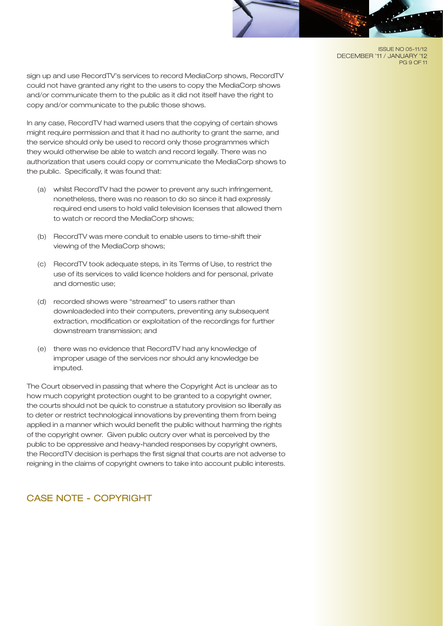#### ISSUE NO 05-11/12 DECEMBER '11 / JANUARY '12 PG 9 OF 11

sign up and use RecordTV's services to record MediaCorp shows, RecordTV could not have granted any right to the users to copy the MediaCorp shows and/or communicate them to the public as it did not itself have the right to copy and/or communicate to the public those shows.

In any case, RecordTV had warned users that the copying of certain shows might require permission and that it had no authority to grant the same, and the service should only be used to record only those programmes which they would otherwise be able to watch and record legally. There was no authorization that users could copy or communicate the MediaCorp shows to the public. Specifically, it was found that:

- (a) whilst RecordTV had the power to prevent any such infringement, nonetheless, there was no reason to do so since it had expressly required end users to hold valid television licenses that allowed them to watch or record the MediaCorp shows;
- (b) RecordTV was mere conduit to enable users to time-shift their viewing of the MediaCorp shows;
- (c) RecordTV took adequate steps, in its Terms of Use, to restrict the use of its services to valid licence holders and for personal, private and domestic use;
- (d) recorded shows were "streamed" to users rather than downloadeded into their computers, preventing any subsequent extraction, modification or exploitation of the recordings for further downstream transmission; and
- (e) there was no evidence that RecordTV had any knowledge of improper usage of the services nor should any knowledge be imputed.

The Court observed in passing that where the Copyright Act is unclear as to how much copyright protection ought to be granted to a copyright owner, the courts should not be quick to construe a statutory provision so liberally as to deter or restrict technological innovations by preventing them from being applied in a manner which would benefit the public without harming the rights of the copyright owner. Given public outcry over what is perceived by the public to be oppressive and heavy-handed responses by copyright owners, the RecordTV decision is perhaps the first signal that courts are not adverse to reigning in the claims of copyright owners to take into account public interests.

# CASE NOTE - COPYRIGHT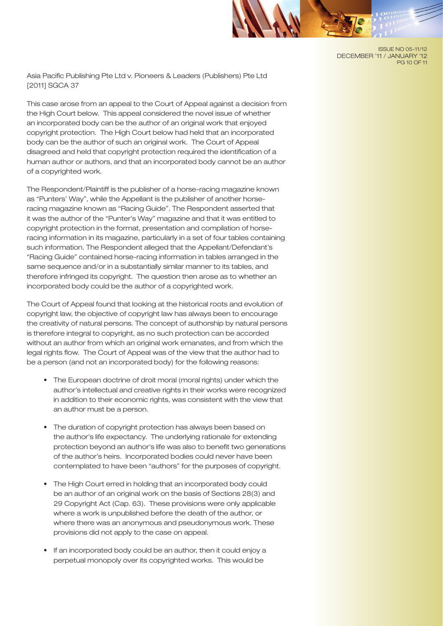ISSUE NO 05-11/12 DECEMBER '11 / JANUARY '12 PG 10 OF 11

Asia Pacific Publishing Pte Ltd v. Pioneers & Leaders (Publishers) Pte Ltd [2011] SGCA 37

This case arose from an appeal to the Court of Appeal against a decision from the High Court below. This appeal considered the novel issue of whether an incorporated body can be the author of an original work that enjoyed copyright protection. The High Court below had held that an incorporated body can be the author of such an original work. The Court of Appeal disagreed and held that copyright protection required the identification of a human author or authors, and that an incorporated body cannot be an author of a copyrighted work.

The Respondent/Plaintiff is the publisher of a horse-racing magazine known as "Punters' Way", while the Appellant is the publisher of another horseracing magazine known as "Racing Guide". The Respondent asserted that it was the author of the "Punter's Way" magazine and that it was entitled to copyright protection in the format, presentation and compilation of horseracing information in its magazine, particularly in a set of four tables containing such information. The Respondent alleged that the Appellant/Defendant's "Racing Guide" contained horse-racing information in tables arranged in the same sequence and/or in a substantially similar manner to its tables, and therefore infringed its copyright. The question then arose as to whether an incorporated body could be the author of a copyrighted work.

The Court of Appeal found that looking at the historical roots and evolution of copyright law, the objective of copyright law has always been to encourage the creativity of natural persons. The concept of authorship by natural persons is therefore integral to copyright, as no such protection can be accorded without an author from which an original work emanates, and from which the legal rights flow. The Court of Appeal was of the view that the author had to be a person (and not an incorporated body) for the following reasons:

- The European doctrine of droit moral (moral rights) under which the author's intellectual and creative rights in their works were recognized in addition to their economic rights, was consistent with the view that an author must be a person.
- The duration of copyright protection has always been based on the author's life expectancy. The underlying rationale for extending protection beyond an author's life was also to benefit two generations of the author's heirs. Incorporated bodies could never have been contemplated to have been "authors" for the purposes of copyright.
- The High Court erred in holding that an incorporated body could be an author of an original work on the basis of Sections 28(3) and 29 Copyright Act (Cap. 63). These provisions were only applicable where a work is unpublished before the death of the author, or where there was an anonymous and pseudonymous work. These provisions did not apply to the case on appeal.
- If an incorporated body could be an author, then it could enjoy a perpetual monopoly over its copyrighted works. This would be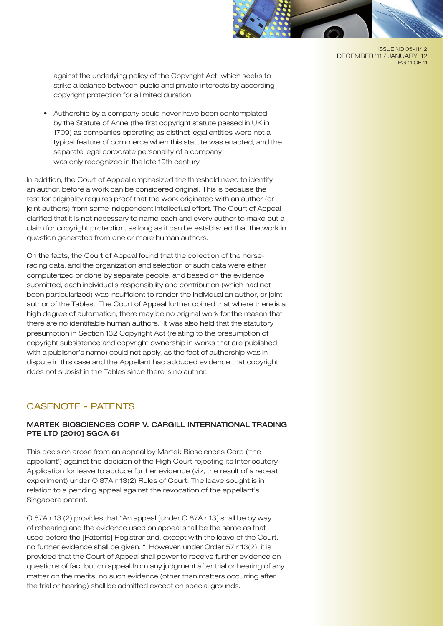

ISSUE NO 05-11/12 DECEMBER '11 / JANUARY '12 PG 11 OF 11

against the underlying policy of the Copyright Act, which seeks to strike a balance between public and private interests by according copyright protection for a limited duration

Authorship by a company could never have been contemplated by the Statute of Anne (the first copyright statute passed in UK in 1709) as companies operating as distinct legal entities were not a typical feature of commerce when this statute was enacted, and the separate legal corporate personality of a company was only recognized in the late 19th century.

In addition, the Court of Appeal emphasized the threshold need to identify an author, before a work can be considered original. This is because the test for originality requires proof that the work originated with an author (or joint authors) from some independent intellectual effort. The Court of Appeal clarified that it is not necessary to name each and every author to make out a claim for copyright protection, as long as it can be established that the work in question generated from one or more human authors.

On the facts, the Court of Appeal found that the collection of the horseracing data, and the organization and selection of such data were either computerized or done by separate people, and based on the evidence submitted, each individual's responsibility and contribution (which had not been particularized) was insufficient to render the individual an author, or joint author of the Tables. The Court of Appeal further opined that where there is a high degree of automation, there may be no original work for the reason that there are no identifiable human authors. It was also held that the statutory presumption in Section 132 Copyright Act (relating to the presumption of copyright subsistence and copyright ownership in works that are published with a publisher's name) could not apply, as the fact of authorship was in dispute in this case and the Appellant had adduced evidence that copyright does not subsist in the Tables since there is no author.

# CASENOTE - PATENTS

## MARTEK BIOSCIENCES CORP V. CARGILL INTERNATIONAL TRADING PTE LTD [2010] SGCA 51

This decision arose from an appeal by Martek Biosciences Corp ('the appellant') against the decision of the High Court rejecting its Interlocutory Application for leave to adduce further evidence (viz, the result of a repeat experiment) under O 87A r 13(2) Rules of Court. The leave sought is in relation to a pending appeal against the revocation of the appellant's Singapore patent.

O 87A r 13 (2) provides that "An appeal [under O 87A r 13] shall be by way of rehearing and the evidence used on appeal shall be the same as that used before the [Patents] Registrar and, except with the leave of the Court, no further evidence shall be given. " However, under Order 57 r 13(2), it is provided that the Court of Appeal shall power to receive further evidence on questions of fact but on appeal from any judgment after trial or hearing of any matter on the merits, no such evidence (other than matters occurring after the trial or hearing) shall be admitted except on special grounds.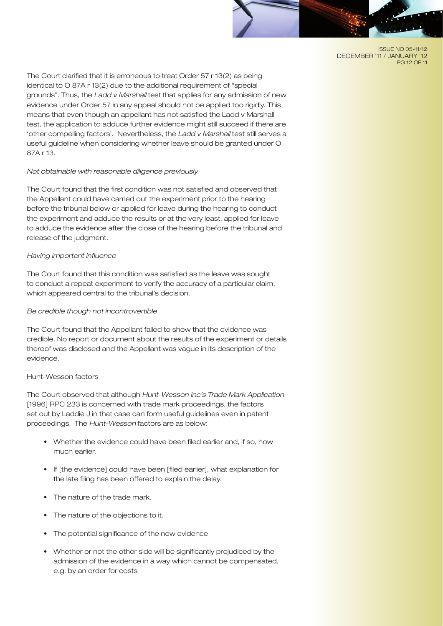#### ISSUE NO 05-11/12 DECEMBER '11 / JANUARY '12 PG 12 OF 11

The Court clarified that it is erroneous to treat Order 57 r 13(2) as being identical to O 87A r 13(2) due to the additional requirement of "special grounds". Thus, the *Ladd v Marshall* test that applies for any admission of new evidence under Order 57 in any appeal should not be applied too rigidly. This means that even though an appellant has not satisfied the Ladd v Marshall test, the application to adduce further evidence might still succeed if there are 'other compelling factors'. Nevertheless, the *Ladd v Marshall* test still serves a useful guideline when considering whether leave should be granted under O 87A r 13.

## *Not obtainable with reasonable diligence previously*

The Court found that the first condition was not satisfied and observed that the Appellant could have carried out the experiment prior to the hearing before the tribunal below or applied for leave during the hearing to conduct the experiment and adduce the results or at the very least, applied for leave to adduce the evidence after the close of the hearing before the tribunal and release of the judgment.

## *Having important influence*

The Court found that this condition was satisfied as the leave was sought to conduct a repeat experiment to verify the accuracy of a particular claim, which appeared central to the tribunal's decision.

## *Be credible though not incontrovertible*

The Court found that the Appellant failed to show that the evidence was credible. No report or document about the results of the experiment or details thereof was disclosed and the Appellant was vague in its description of the evidence.

## Hunt-Wesson factors

The Court observed that although *Hunt-Wesson Inc's Trade Mark Application* [1996] RPC 233 is concerned with trade mark proceedings, the factors set out by Laddie J in that case can form useful guidelines even in patent proceedings. The *Hunt-Wesson* factors are as below:

- Whether the evidence could have been filed earlier and, if so, how much earlier.
- If [the evidence] could have been [filed earlier], what explanation for the late filing has been offered to explain the delay.
- The nature of the trade mark.
- The nature of the objections to it.
- The potential significance of the new evidence
- Whether or not the other side will be significantly prejudiced by the admission of the evidence in a way which cannot be compensated, e.g. by an order for costs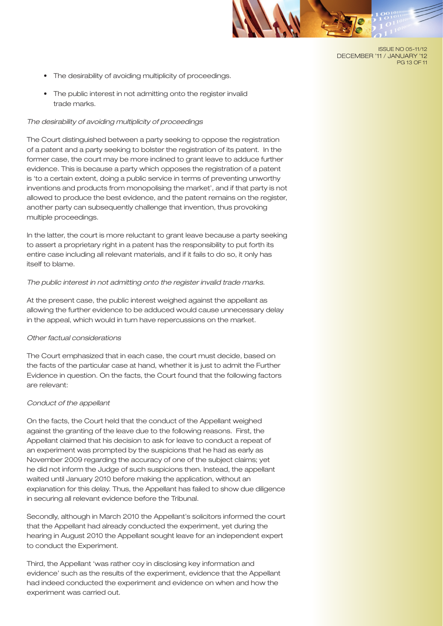#### ISSUE NO 05-11/12 DECEMBER '11 / JANUARY '12 PG 13 OF 11

- The desirability of avoiding multiplicity of proceedings.
- The public interest in not admitting onto the register invalid trade marks.

## *The desirability of avoiding multiplicity of proceedings*

The Court distinguished between a party seeking to oppose the registration of a patent and a party seeking to bolster the registration of its patent. In the former case, the court may be more inclined to grant leave to adduce further evidence. This is because a party which opposes the registration of a patent is 'to a certain extent, doing a public service in terms of preventing unworthy inventions and products from monopolising the market', and if that party is not allowed to produce the best evidence, and the patent remains on the register, another party can subsequently challenge that invention, thus provoking multiple proceedings.

In the latter, the court is more reluctant to grant leave because a party seeking to assert a proprietary right in a patent has the responsibility to put forth its entire case including all relevant materials, and if it fails to do so, it only has itself to blame.

## *The public interest in not admitting onto the register invalid trade marks.*

At the present case, the public interest weighed against the appellant as allowing the further evidence to be adduced would cause unnecessary delay in the appeal, which would in turn have repercussions on the market.

#### *Other factual considerations*

The Court emphasized that in each case, the court must decide, based on the facts of the particular case at hand, whether it is just to admit the Further Evidence in question. On the facts, the Court found that the following factors are relevant:

### *Conduct of the appellant*

On the facts, the Court held that the conduct of the Appellant weighed against the granting of the leave due to the following reasons. First, the Appellant claimed that his decision to ask for leave to conduct a repeat of an experiment was prompted by the suspicions that he had as early as November 2009 regarding the accuracy of one of the subject claims; yet he did not inform the Judge of such suspicions then. Instead, the appellant waited until January 2010 before making the application, without an explanation for this delay. Thus, the Appellant has failed to show due diligence in securing all relevant evidence before the Tribunal.

Secondly, although in March 2010 the Appellant's solicitors informed the court that the Appellant had already conducted the experiment, yet during the hearing in August 2010 the Appellant sought leave for an independent expert to conduct the Experiment.

Third, the Appellant 'was rather coy in disclosing key information and evidence' such as the results of the experiment, evidence that the Appellant had indeed conducted the experiment and evidence on when and how the experiment was carried out.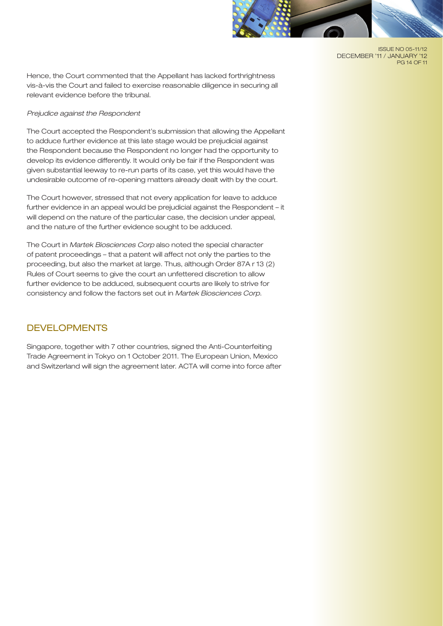

ISSUE NO 05-11/12 DECEMBER '11 / JANUARY '12 PG 14 OF 11

Hence, the Court commented that the Appellant has lacked forthrightness vis-à-vis the Court and failed to exercise reasonable diligence in securing all relevant evidence before the tribunal.

## *Prejudice against the Respondent*

The Court accepted the Respondent's submission that allowing the Appellant to adduce further evidence at this late stage would be prejudicial against the Respondent because the Respondent no longer had the opportunity to develop its evidence differently. It would only be fair if the Respondent was given substantial leeway to re-run parts of its case, yet this would have the undesirable outcome of re-opening matters already dealt with by the court.

The Court however, stressed that not every application for leave to adduce further evidence in an appeal would be prejudicial against the Respondent – it will depend on the nature of the particular case, the decision under appeal, and the nature of the further evidence sought to be adduced.

The Court in *Martek Biosciences Corp* also noted the special character of patent proceedings – that a patent will affect not only the parties to the proceeding, but also the market at large. Thus, although Order 87A r 13 (2) Rules of Court seems to give the court an unfettered discretion to allow further evidence to be adduced, subsequent courts are likely to strive for consistency and follow the factors set out in *Martek Biosciences Corp*.

# DEVELOPMENTS

Singapore, together with 7 other countries, signed the Anti-Counterfeiting Trade Agreement in Tokyo on 1 October 2011. The European Union, Mexico and Switzerland will sign the agreement later. ACTA will come into force after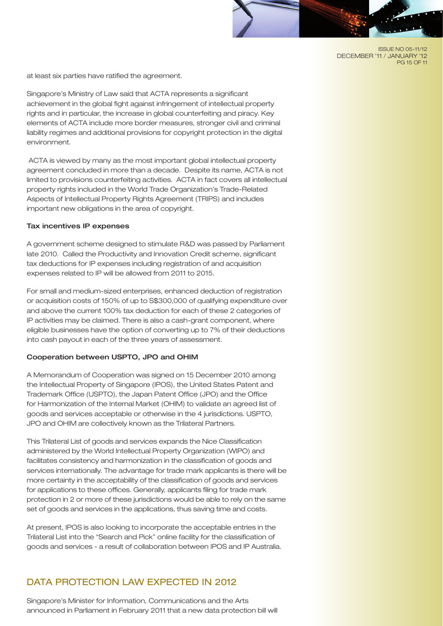#### ISSUE NO 05-11/12 DECEMBER '11 / JANUARY '12 PG 15 OF 11

at least six parties have ratified the agreement.

Singapore's Ministry of Law said that ACTA represents a significant achievement in the global fight against infringement of intellectual property rights and in particular, the increase in global counterfeiting and piracy. Key elements of ACTA include more border measures, stronger civil and criminal liability regimes and additional provisions for copyright protection in the digital environment.

 ACTA is viewed by many as the most important global intellectual property agreement concluded in more than a decade. Despite its name, ACTA is not limited to provisions counterfeiting activities. ACTA in fact covers all intellectual property rights included in the World Trade Organization's Trade-Related Aspects of Intellectual Property Rights Agreement (TRIPS) and includes important new obligations in the area of copyright.

## Tax incentives IP expenses

A government scheme designed to stimulate R&D was passed by Parliament late 2010. Called the Productivity and Innovation Credit scheme, significant tax deductions for IP expenses including registration of and acquisition expenses related to IP will be allowed from 2011 to 2015.

For small and medium-sized enterprises, enhanced deduction of registration or acquisition costs of 150% of up to S\$300,000 of qualifying expenditure over and above the current 100% tax deduction for each of these 2 categories of IP activities may be claimed. There is also a cash-grant component, where eligible businesses have the option of converting up to 7% of their deductions into cash payout in each of the three years of assessment.

## Cooperation between USPTO, JPO and OHIM

A Memorandum of Cooperation was signed on 15 December 2010 among the Intellectual Property of Singapore (IPOS), the United States Patent and Trademark Office (USPTO), the Japan Patent Office (JPO) and the Office for Harmonization of the Internal Market (OHIM) to validate an agreed list of goods and services acceptable or otherwise in the 4 jurisdictions. USPTO, JPO and OHIM are collectively known as the Trilateral Partners.

This Trilateral List of goods and services expands the Nice Classification administered by the World Intellectual Property Organization (WIPO) and facilitates consistency and harmonization in the classification of goods and services internationally. The advantage for trade mark applicants is there will be more certainty in the acceptability of the classification of goods and services for applications to these offices. Generally, applicants filing for trade mark protection in 2 or more of these jurisdictions would be able to rely on the same set of goods and services in the applications, thus saving time and costs.

At present, IPOS is also looking to incorporate the acceptable entries in the Trilateral List into the "Search and Pick" online facility for the classification of goods and services - a result of collaboration between IPOS and IP Australia.

# DATA PROTECTION LAW EXPECTED IN 2012

Singapore's Minister for Information, Communications and the Arts announced in Parliament in February 2011 that a new data protection bill will